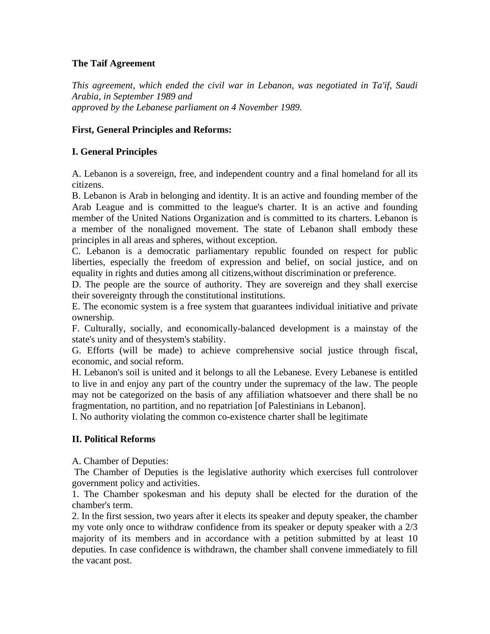# **The Taif Agreement**

*This agreement, which ended the civil war in Lebanon, was negotiated in Ta'if, Saudi Arabia, in September 1989 and approved by the Lebanese parliament on 4 November 1989.* 

### **First, General Principles and Reforms:**

### **I. General Principles**

A. Lebanon is a sovereign, free, and independent country and a final homeland for all its citizens.

B. Lebanon is Arab in belonging and identity. It is an active and founding member of the Arab League and is committed to the league's charter. It is an active and founding member of the United Nations Organization and is committed to its charters. Lebanon is a member of the nonaligned movement. The state of Lebanon shall embody these principles in all areas and spheres, without exception.

C. Lebanon is a democratic parliamentary republic founded on respect for public liberties, especially the freedom of expression and belief, on social justice, and on equality in rights and duties among all citizens,without discrimination or preference.

D. The people are the source of authority. They are sovereign and they shall exercise their sovereignty through the constitutional institutions.

E. The economic system is a free system that guarantees individual initiative and private ownership.

F. Culturally, socially, and economically-balanced development is a mainstay of the state's unity and of thesystem's stability.

G. Efforts (will be made) to achieve comprehensive social justice through fiscal, economic, and social reform.

H. Lebanon's soil is united and it belongs to all the Lebanese. Every Lebanese is entitled to live in and enjoy any part of the country under the supremacy of the law. The people may not be categorized on the basis of any affiliation whatsoever and there shall be no fragmentation, no partition, and no repatriation [of Palestinians in Lebanon].

I. No authority violating the common co-existence charter shall be legitimate

# **II. Political Reforms**

A. Chamber of Deputies:

 The Chamber of Deputies is the legislative authority which exercises full controlover government policy and activities.

1. The Chamber spokesman and his deputy shall be elected for the duration of the chamber's term.

2. In the first session, two years after it elects its speaker and deputy speaker, the chamber my vote only once to withdraw confidence from its speaker or deputy speaker with a 2/3 majority of its members and in accordance with a petition submitted by at least 10 deputies. In case confidence is withdrawn, the chamber shall convene immediately to fill the vacant post.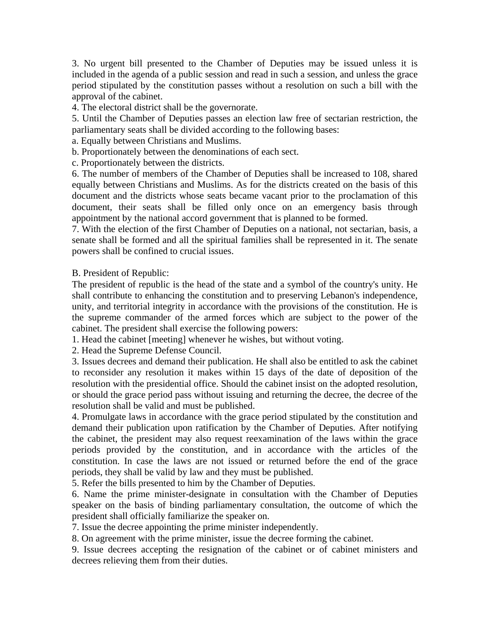3. No urgent bill presented to the Chamber of Deputies may be issued unless it is included in the agenda of a public session and read in such a session, and unless the grace period stipulated by the constitution passes without a resolution on such a bill with the approval of the cabinet.

4. The electoral district shall be the governorate.

5. Until the Chamber of Deputies passes an election law free of sectarian restriction, the parliamentary seats shall be divided according to the following bases:

a. Equally between Christians and Muslims.

b. Proportionately between the denominations of each sect.

c. Proportionately between the districts.

6. The number of members of the Chamber of Deputies shall be increased to 108, shared equally between Christians and Muslims. As for the districts created on the basis of this document and the districts whose seats became vacant prior to the proclamation of this document, their seats shall be filled only once on an emergency basis through appointment by the national accord government that is planned to be formed.

7. With the election of the first Chamber of Deputies on a national, not sectarian, basis, a senate shall be formed and all the spiritual families shall be represented in it. The senate powers shall be confined to crucial issues.

B. President of Republic:

The president of republic is the head of the state and a symbol of the country's unity. He shall contribute to enhancing the constitution and to preserving Lebanon's independence, unity, and territorial integrity in accordance with the provisions of the constitution. He is the supreme commander of the armed forces which are subject to the power of the cabinet. The president shall exercise the following powers:

1. Head the cabinet [meeting] whenever he wishes, but without voting.

2. Head the Supreme Defense Council.

3. Issues decrees and demand their publication. He shall also be entitled to ask the cabinet to reconsider any resolution it makes within 15 days of the date of deposition of the resolution with the presidential office. Should the cabinet insist on the adopted resolution, or should the grace period pass without issuing and returning the decree, the decree of the resolution shall be valid and must be published.

4. Promulgate laws in accordance with the grace period stipulated by the constitution and demand their publication upon ratification by the Chamber of Deputies. After notifying the cabinet, the president may also request reexamination of the laws within the grace periods provided by the constitution, and in accordance with the articles of the constitution. In case the laws are not issued or returned before the end of the grace periods, they shall be valid by law and they must be published.

5. Refer the bills presented to him by the Chamber of Deputies.

6. Name the prime minister-designate in consultation with the Chamber of Deputies speaker on the basis of binding parliamentary consultation, the outcome of which the president shall officially familiarize the speaker on.

7. Issue the decree appointing the prime minister independently.

8. On agreement with the prime minister, issue the decree forming the cabinet.

9. Issue decrees accepting the resignation of the cabinet or of cabinet ministers and decrees relieving them from their duties.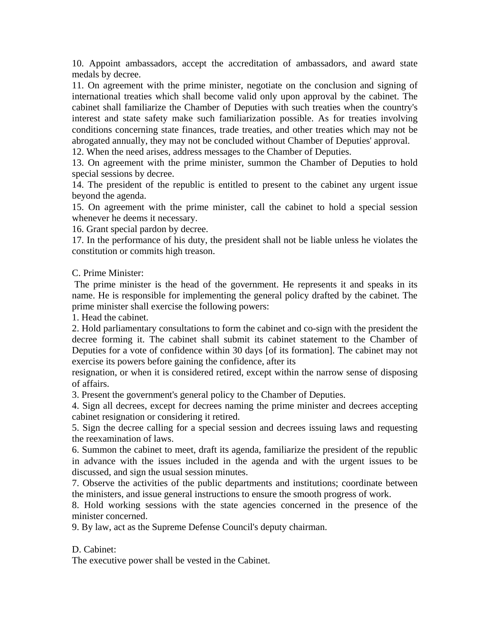10. Appoint ambassadors, accept the accreditation of ambassadors, and award state medals by decree.

11. On agreement with the prime minister, negotiate on the conclusion and signing of international treaties which shall become valid only upon approval by the cabinet. The cabinet shall familiarize the Chamber of Deputies with such treaties when the country's interest and state safety make such familiarization possible. As for treaties involving conditions concerning state finances, trade treaties, and other treaties which may not be abrogated annually, they may not be concluded without Chamber of Deputies' approval.

12. When the need arises, address messages to the Chamber of Deputies.

13. On agreement with the prime minister, summon the Chamber of Deputies to hold special sessions by decree.

14. The president of the republic is entitled to present to the cabinet any urgent issue beyond the agenda.

15. On agreement with the prime minister, call the cabinet to hold a special session whenever he deems it necessary.

16. Grant special pardon by decree.

17. In the performance of his duty, the president shall not be liable unless he violates the constitution or commits high treason.

C. Prime Minister:

 The prime minister is the head of the government. He represents it and speaks in its name. He is responsible for implementing the general policy drafted by the cabinet. The prime minister shall exercise the following powers:

1. Head the cabinet.

2. Hold parliamentary consultations to form the cabinet and co-sign with the president the decree forming it. The cabinet shall submit its cabinet statement to the Chamber of Deputies for a vote of confidence within 30 days [of its formation]. The cabinet may not exercise its powers before gaining the confidence, after its

resignation, or when it is considered retired, except within the narrow sense of disposing of affairs.

3. Present the government's general policy to the Chamber of Deputies.

4. Sign all decrees, except for decrees naming the prime minister and decrees accepting cabinet resignation or considering it retired.

5. Sign the decree calling for a special session and decrees issuing laws and requesting the reexamination of laws.

6. Summon the cabinet to meet, draft its agenda, familiarize the president of the republic in advance with the issues included in the agenda and with the urgent issues to be discussed, and sign the usual session minutes.

7. Observe the activities of the public departments and institutions; coordinate between the ministers, and issue general instructions to ensure the smooth progress of work.

8. Hold working sessions with the state agencies concerned in the presence of the minister concerned.

9. By law, act as the Supreme Defense Council's deputy chairman.

#### D. Cabinet:

The executive power shall be vested in the Cabinet.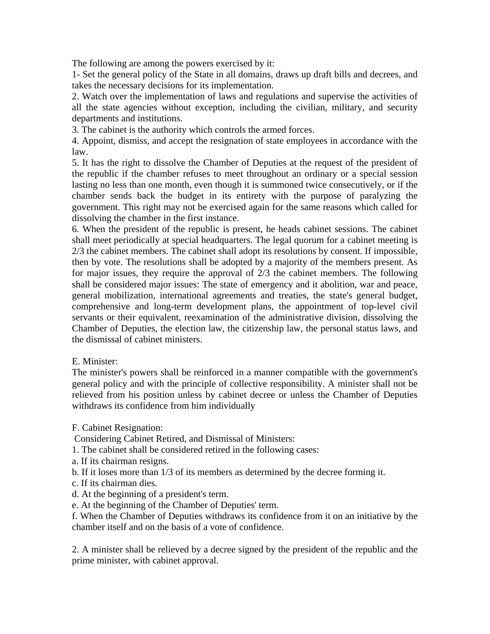The following are among the powers exercised by it:

1- Set the general policy of the State in all domains, draws up draft bills and decrees, and takes the necessary decisions for its implementation.

2. Watch over the implementation of laws and regulations and supervise the activities of all the state agencies without exception, including the civilian, military, and security departments and institutions.

3. The cabinet is the authority which controls the armed forces.

4. Appoint, dismiss, and accept the resignation of state employees in accordance with the law.

5. It has the right to dissolve the Chamber of Deputies at the request of the president of the republic if the chamber refuses to meet throughout an ordinary or a special session lasting no less than one month, even though it is summoned twice consecutively, or if the chamber sends back the budget in its entirety with the purpose of paralyzing the government. This right may not be exercised again for the same reasons which called for dissolving the chamber in the first instance.

6. When the president of the republic is present, he heads cabinet sessions. The cabinet shall meet periodically at special headquarters. The legal quorum for a cabinet meeting is 2/3 the cabinet members. The cabinet shall adopt its resolutions by consent. If impossible, then by vote. The resolutions shall be adopted by a majority of the members present. As for major issues, they require the approval of 2/3 the cabinet members. The following shall be considered major issues: The state of emergency and it abolition, war and peace, general mobilization, international agreements and treaties, the state's general budget, comprehensive and long-term development plans, the appointment of top-level civil servants or their equivalent, reexamination of the administrative division, dissolving the Chamber of Deputies, the election law, the citizenship law, the personal status laws, and the dismissal of cabinet ministers.

#### E. Minister:

The minister's powers shall be reinforced in a manner compatible with the government's general policy and with the principle of collective responsibility. A minister shall not be relieved from his position unless by cabinet decree or unless the Chamber of Deputies withdraws its confidence from him individually

F. Cabinet Resignation:

Considering Cabinet Retired, and Dismissal of Ministers:

- 1. The cabinet shall be considered retired in the following cases:
- a. If its chairman resigns.
- b. If it loses more than 1/3 of its members as determined by the decree forming it.
- c. If its chairman dies.
- d. At the beginning of a president's term.
- e. At the beginning of the Chamber of Deputies' term.

f. When the Chamber of Deputies withdraws its confidence from it on an initiative by the chamber itself and on the basis of a vote of confidence.

2. A minister shall be relieved by a decree signed by the president of the republic and the prime minister, with cabinet approval.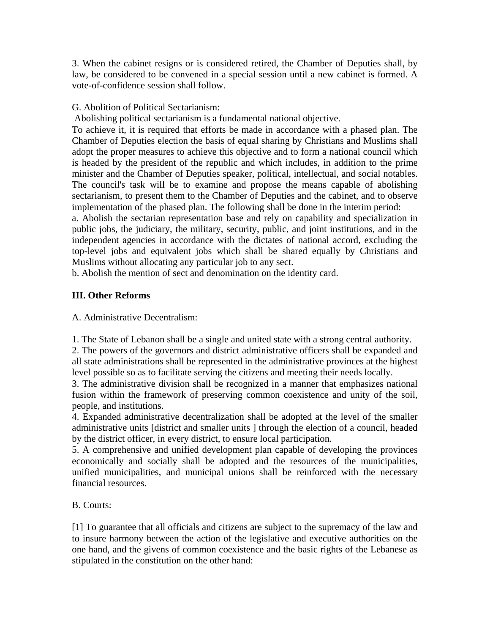3. When the cabinet resigns or is considered retired, the Chamber of Deputies shall, by law, be considered to be convened in a special session until a new cabinet is formed. A vote-of-confidence session shall follow.

# G. Abolition of Political Sectarianism:

Abolishing political sectarianism is a fundamental national objective.

To achieve it, it is required that efforts be made in accordance with a phased plan. The Chamber of Deputies election the basis of equal sharing by Christians and Muslims shall adopt the proper measures to achieve this objective and to form a national council which is headed by the president of the republic and which includes, in addition to the prime minister and the Chamber of Deputies speaker, political, intellectual, and social notables. The council's task will be to examine and propose the means capable of abolishing sectarianism, to present them to the Chamber of Deputies and the cabinet, and to observe implementation of the phased plan. The following shall be done in the interim period:

a. Abolish the sectarian representation base and rely on capability and specialization in public jobs, the judiciary, the military, security, public, and joint institutions, and in the independent agencies in accordance with the dictates of national accord, excluding the top-level jobs and equivalent jobs which shall be shared equally by Christians and Muslims without allocating any particular job to any sect.

b. Abolish the mention of sect and denomination on the identity card.

# **III. Other Reforms**

A. Administrative Decentralism:

1. The State of Lebanon shall be a single and united state with a strong central authority.

2. The powers of the governors and district administrative officers shall be expanded and all state administrations shall be represented in the administrative provinces at the highest level possible so as to facilitate serving the citizens and meeting their needs locally.

3. The administrative division shall be recognized in a manner that emphasizes national fusion within the framework of preserving common coexistence and unity of the soil, people, and institutions.

4. Expanded administrative decentralization shall be adopted at the level of the smaller administrative units [district and smaller units ] through the election of a council, headed by the district officer, in every district, to ensure local participation.

5. A comprehensive and unified development plan capable of developing the provinces economically and socially shall be adopted and the resources of the municipalities, unified municipalities, and municipal unions shall be reinforced with the necessary financial resources.

# B. Courts:

[1] To guarantee that all officials and citizens are subject to the supremacy of the law and to insure harmony between the action of the legislative and executive authorities on the one hand, and the givens of common coexistence and the basic rights of the Lebanese as stipulated in the constitution on the other hand: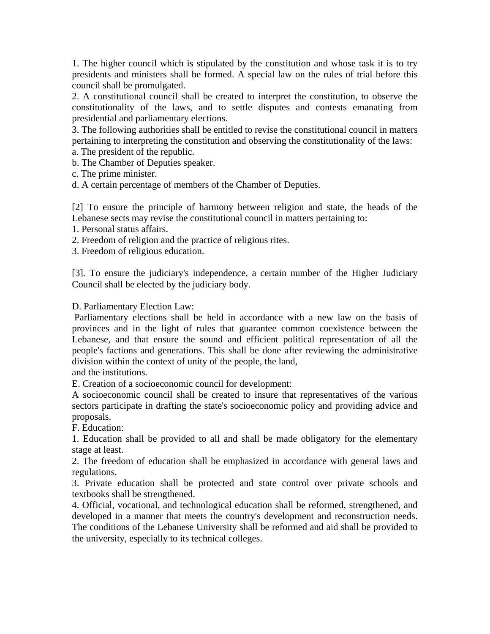1. The higher council which is stipulated by the constitution and whose task it is to try presidents and ministers shall be formed. A special law on the rules of trial before this council shall be promulgated.

2. A constitutional council shall be created to interpret the constitution, to observe the constitutionality of the laws, and to settle disputes and contests emanating from presidential and parliamentary elections.

3. The following authorities shall be entitled to revise the constitutional council in matters pertaining to interpreting the constitution and observing the constitutionality of the laws:

a. The president of the republic.

b. The Chamber of Deputies speaker.

c. The prime minister.

d. A certain percentage of members of the Chamber of Deputies.

[2] To ensure the principle of harmony between religion and state, the heads of the Lebanese sects may revise the constitutional council in matters pertaining to:

1. Personal status affairs.

2. Freedom of religion and the practice of religious rites.

3. Freedom of religious education.

[3]. To ensure the judiciary's independence, a certain number of the Higher Judiciary Council shall be elected by the judiciary body.

D. Parliamentary Election Law:

 Parliamentary elections shall be held in accordance with a new law on the basis of provinces and in the light of rules that guarantee common coexistence between the Lebanese, and that ensure the sound and efficient political representation of all the people's factions and generations. This shall be done after reviewing the administrative division within the context of unity of the people, the land,

and the institutions.

E. Creation of a socioeconomic council for development:

A socioeconomic council shall be created to insure that representatives of the various sectors participate in drafting the state's socioeconomic policy and providing advice and proposals.

F. Education:

1. Education shall be provided to all and shall be made obligatory for the elementary stage at least.

2. The freedom of education shall be emphasized in accordance with general laws and regulations.

3. Private education shall be protected and state control over private schools and textbooks shall be strengthened.

4. Official, vocational, and technological education shall be reformed, strengthened, and developed in a manner that meets the country's development and reconstruction needs. The conditions of the Lebanese University shall be reformed and aid shall be provided to the university, especially to its technical colleges.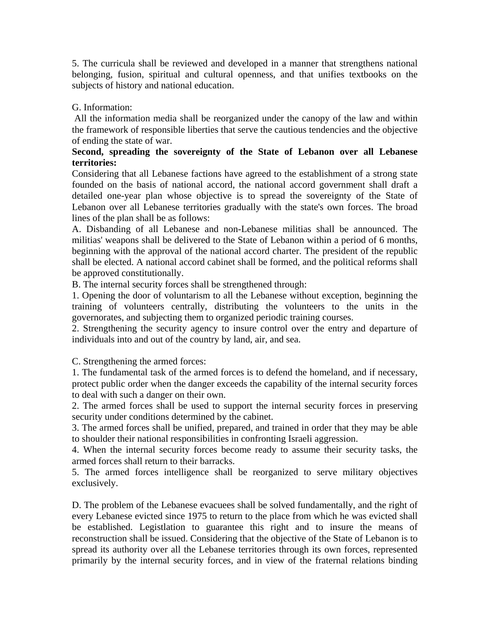5. The curricula shall be reviewed and developed in a manner that strengthens national belonging, fusion, spiritual and cultural openness, and that unifies textbooks on the subjects of history and national education.

### G. Information:

 All the information media shall be reorganized under the canopy of the law and within the framework of responsible liberties that serve the cautious tendencies and the objective of ending the state of war.

#### **Second, spreading the sovereignty of the State of Lebanon over all Lebanese territories:**

Considering that all Lebanese factions have agreed to the establishment of a strong state founded on the basis of national accord, the national accord government shall draft a detailed one-year plan whose objective is to spread the sovereignty of the State of Lebanon over all Lebanese territories gradually with the state's own forces. The broad lines of the plan shall be as follows:

A. Disbanding of all Lebanese and non-Lebanese militias shall be announced. The militias' weapons shall be delivered to the State of Lebanon within a period of 6 months, beginning with the approval of the national accord charter. The president of the republic shall be elected. A national accord cabinet shall be formed, and the political reforms shall be approved constitutionally.

B. The internal security forces shall be strengthened through:

1. Opening the door of voluntarism to all the Lebanese without exception, beginning the training of volunteers centrally, distributing the volunteers to the units in the governorates, and subjecting them to organized periodic training courses.

2. Strengthening the security agency to insure control over the entry and departure of individuals into and out of the country by land, air, and sea.

C. Strengthening the armed forces:

1. The fundamental task of the armed forces is to defend the homeland, and if necessary, protect public order when the danger exceeds the capability of the internal security forces to deal with such a danger on their own.

2. The armed forces shall be used to support the internal security forces in preserving security under conditions determined by the cabinet.

3. The armed forces shall be unified, prepared, and trained in order that they may be able to shoulder their national responsibilities in confronting Israeli aggression.

4. When the internal security forces become ready to assume their security tasks, the armed forces shall return to their barracks.

5. The armed forces intelligence shall be reorganized to serve military objectives exclusively.

D. The problem of the Lebanese evacuees shall be solved fundamentally, and the right of every Lebanese evicted since 1975 to return to the place from which he was evicted shall be established. Legistlation to guarantee this right and to insure the means of reconstruction shall be issued. Considering that the objective of the State of Lebanon is to spread its authority over all the Lebanese territories through its own forces, represented primarily by the internal security forces, and in view of the fraternal relations binding